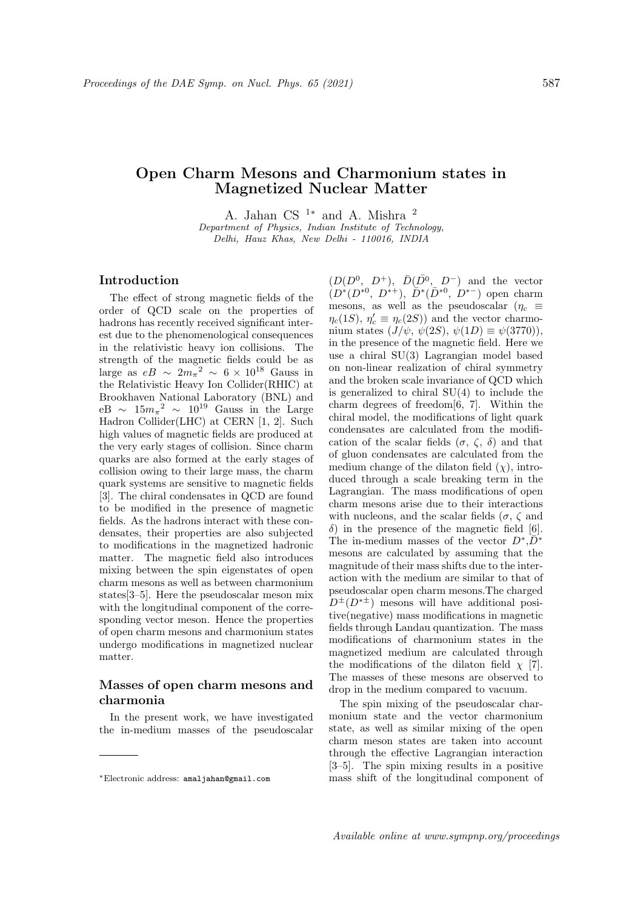# Open Charm Mesons and Charmonium states in Magnetized Nuclear Matter

A. Jahan CS  $1*$  and A. Mishra  $^2$ Department of Physics, Indian Institute of Technology, Delhi, Hauz Khas, New Delhi - 110016, INDIA

### Introduction

The effect of strong magnetic fields of the order of QCD scale on the properties of hadrons has recently received significant interest due to the phenomenological consequences in the relativistic heavy ion collisions. The strength of the magnetic fields could be as large as  $eB \sim 2m_{\pi}^{2} \sim 6 \times 10^{18}$  Gauss in the Relativistic Heavy Ion Collider(RHIC) at Brookhaven National Laboratory (BNL) and  $eB \sim 15m_{\pi}^2 \sim 10^{19}$  Gauss in the Large Hadron Collider(LHC) at CERN [1, 2]. Such high values of magnetic fields are produced at the very early stages of collision. Since charm quarks are also formed at the early stages of collision owing to their large mass, the charm quark systems are sensitive to magnetic fields [3]. The chiral condensates in QCD are found to be modified in the presence of magnetic fields. As the hadrons interact with these condensates, their properties are also subjected to modifications in the magnetized hadronic matter. The magnetic field also introduces mixing between the spin eigenstates of open charm mesons as well as between charmonium states[3–5]. Here the pseudoscalar meson mix with the longitudinal component of the corresponding vector meson. Hence the properties of open charm mesons and charmonium states undergo modifications in magnetized nuclear matter.

## Masses of open charm mesons and charmonia

In the present work, we have investigated the in-medium masses of the pseudoscalar

 $(D(D^0, D^+), \bar{D}(\bar{D^0}, D^-)$  and the vector  $(D^*(D^{*0}, D^{*+}), \bar{D}^*(\bar{D}^{*0}, D^{*-})$  open charm mesons, as well as the pseudoscalar ( $\eta_c \equiv$  $\eta_c(1S)$ ,  $\eta_c' \equiv \eta_c(2S)$  and the vector charmonium states  $(J/\psi, \psi(2S), \psi(1D) \equiv \psi(3770)$ , in the presence of the magnetic field. Here we use a chiral SU(3) Lagrangian model based on non-linear realization of chiral symmetry and the broken scale invariance of QCD which is generalized to chiral  $SU(4)$  to include the charm degrees of freedom[6, 7]. Within the chiral model, the modifications of light quark condensates are calculated from the modification of the scalar fields  $(\sigma, \zeta, \delta)$  and that of gluon condensates are calculated from the medium change of the dilaton field  $(\chi)$ , introduced through a scale breaking term in the Lagrangian. The mass modifications of open charm mesons arise due to their interactions with nucleons, and the scalar fields ( $\sigma$ ,  $\zeta$  and δ) in the presence of the magnetic field [6]. The in-medium masses of the vector  $D^*, \overline{D}^*$ mesons are calculated by assuming that the magnitude of their mass shifts due to the interaction with the medium are similar to that of pseudoscalar open charm mesons.The charged  $D^{\pm}(D^{*\pm})$  mesons will have additional positive(negative) mass modifications in magnetic fields through Landau quantization. The mass modifications of charmonium states in the magnetized medium are calculated through the modifications of the dilaton field  $\chi$  [7]. The masses of these mesons are observed to drop in the medium compared to vacuum.

The spin mixing of the pseudoscalar charmonium state and the vector charmonium state, as well as similar mixing of the open charm meson states are taken into account through the effective Lagrangian interaction [3–5]. The spin mixing results in a positive mass shift of the longitudinal component of

<sup>∗</sup>Electronic address: amaljahan@gmail.com